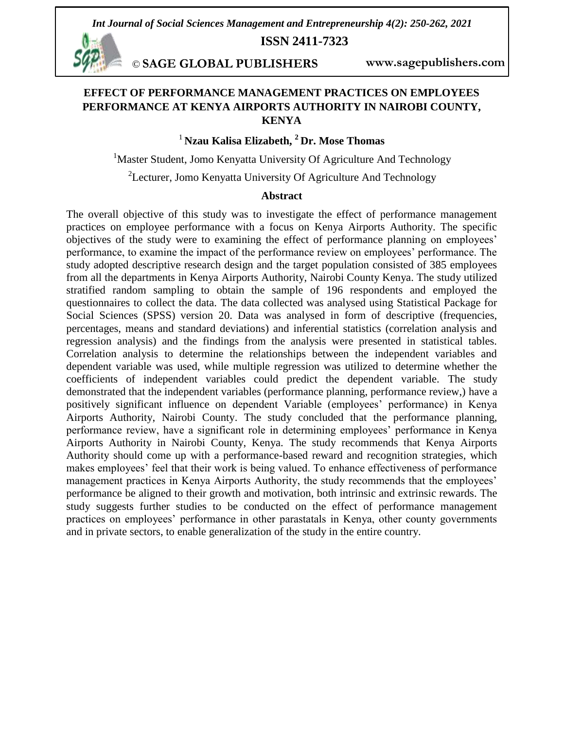*Int Journal of Social Sciences Management and Entrepreneurship 4(2): 250-262, 2021*

**ISSN 2411-7323**

*©* **SAGE GLOBAL PUBLISHERS www.sagepublishers.com**

# **EFFECT OF PERFORMANCE MANAGEMENT PRACTICES ON EMPLOYEES PERFORMANCE AT KENYA AIRPORTS AUTHORITY IN NAIROBI COUNTY, KENYA**

# <sup>1</sup> **Nzau Kalisa Elizabeth, <sup>2</sup> Dr. Mose Thomas**

<sup>1</sup>Master Student, Jomo Kenyatta University Of Agriculture And Technology

 $2$ Lecturer, Jomo Kenyatta University Of Agriculture And Technology

#### **Abstract**

The overall objective of this study was to investigate the effect of performance management practices on employee performance with a focus on Kenya Airports Authority. The specific objectives of the study were to examining the effect of performance planning on employees" performance, to examine the impact of the performance review on employees" performance. The study adopted descriptive research design and the target population consisted of 385 employees from all the departments in Kenya Airports Authority, Nairobi County Kenya. The study utilized stratified random sampling to obtain the sample of 196 respondents and employed the questionnaires to collect the data. The data collected was analysed using Statistical Package for Social Sciences (SPSS) version 20. Data was analysed in form of descriptive (frequencies, percentages, means and standard deviations) and inferential statistics (correlation analysis and regression analysis) and the findings from the analysis were presented in statistical tables. Correlation analysis to determine the relationships between the independent variables and dependent variable was used, while multiple regression was utilized to determine whether the coefficients of independent variables could predict the dependent variable. The study demonstrated that the independent variables (performance planning, performance review,) have a positively significant influence on dependent Variable (employees" performance) in Kenya Airports Authority, Nairobi County. The study concluded that the performance planning, performance review, have a significant role in determining employees" performance in Kenya Airports Authority in Nairobi County, Kenya. The study recommends that Kenya Airports Authority should come up with a performance-based reward and recognition strategies, which makes employees' feel that their work is being valued. To enhance effectiveness of performance management practices in Kenya Airports Authority, the study recommends that the employees' performance be aligned to their growth and motivation, both intrinsic and extrinsic rewards. The study suggests further studies to be conducted on the effect of performance management practices on employees" performance in other parastatals in Kenya, other county governments and in private sectors, to enable generalization of the study in the entire country.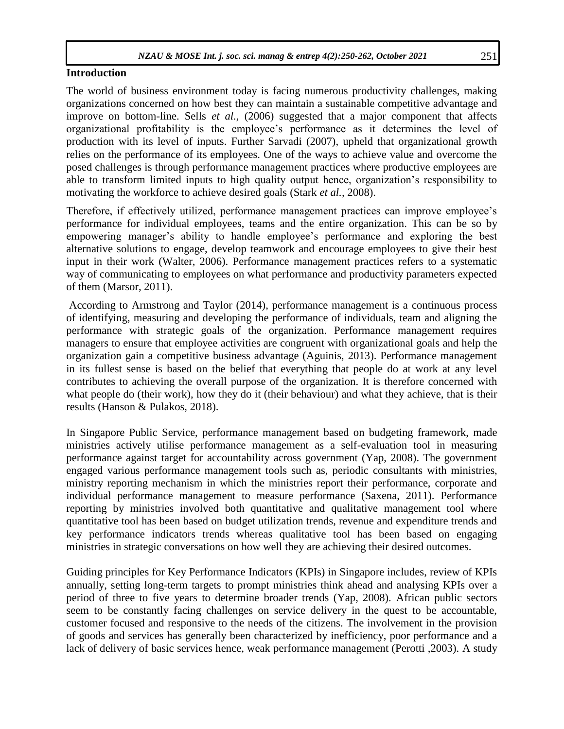#### **Introduction**

The world of business environment today is facing numerous productivity challenges, making organizations concerned on how best they can maintain a sustainable competitive advantage and improve on bottom-line. Sells *et al.,* (2006) suggested that a major component that affects organizational profitability is the employee"s performance as it determines the level of production with its level of inputs. Further Sarvadi (2007), upheld that organizational growth relies on the performance of its employees. One of the ways to achieve value and overcome the posed challenges is through performance management practices where productive employees are able to transform limited inputs to high quality output hence, organization"s responsibility to motivating the workforce to achieve desired goals (Stark *et al.,* 2008).

Therefore, if effectively utilized, performance management practices can improve employee"s performance for individual employees, teams and the entire organization. This can be so by empowering manager's ability to handle employee's performance and exploring the best alternative solutions to engage, develop teamwork and encourage employees to give their best input in their work (Walter, 2006). Performance management practices refers to a systematic way of communicating to employees on what performance and productivity parameters expected of them (Marsor, 2011).

According to Armstrong and Taylor (2014), performance management is a continuous process of identifying, measuring and developing the performance of individuals, team and aligning the performance with strategic goals of the organization. Performance management requires managers to ensure that employee activities are congruent with organizational goals and help the organization gain a competitive business advantage (Aguinis, 2013). Performance management in its fullest sense is based on the belief that everything that people do at work at any level contributes to achieving the overall purpose of the organization. It is therefore concerned with what people do (their work), how they do it (their behaviour) and what they achieve, that is their results (Hanson & Pulakos, 2018).

In Singapore Public Service, performance management based on budgeting framework, made ministries actively utilise performance management as a self-evaluation tool in measuring performance against target for accountability across government (Yap, 2008). The government engaged various performance management tools such as, periodic consultants with ministries, ministry reporting mechanism in which the ministries report their performance, corporate and individual performance management to measure performance (Saxena, 2011). Performance reporting by ministries involved both quantitative and qualitative management tool where quantitative tool has been based on budget utilization trends, revenue and expenditure trends and key performance indicators trends whereas qualitative tool has been based on engaging ministries in strategic conversations on how well they are achieving their desired outcomes.

Guiding principles for Key Performance Indicators (KPIs) in Singapore includes, review of KPIs annually, setting long-term targets to prompt ministries think ahead and analysing KPIs over a period of three to five years to determine broader trends (Yap, 2008). African public sectors seem to be constantly facing challenges on service delivery in the quest to be accountable, customer focused and responsive to the needs of the citizens. The involvement in the provision of goods and services has generally been characterized by inefficiency, poor performance and a lack of delivery of basic services hence, weak performance management (Perotti ,2003). A study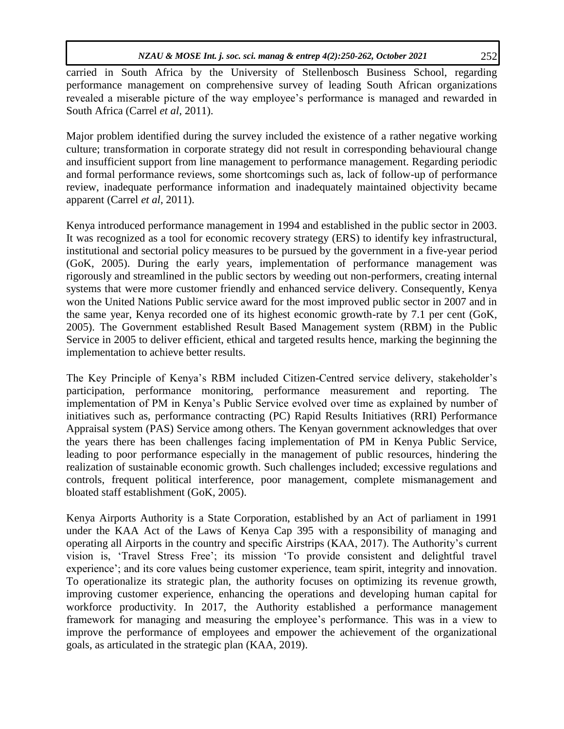carried in South Africa by the University of Stellenbosch Business School, regarding performance management on comprehensive survey of leading South African organizations revealed a miserable picture of the way employee's performance is managed and rewarded in South Africa (Carrel *et al*, 2011).

Major problem identified during the survey included the existence of a rather negative working culture; transformation in corporate strategy did not result in corresponding behavioural change and insufficient support from line management to performance management. Regarding periodic and formal performance reviews, some shortcomings such as, lack of follow-up of performance review, inadequate performance information and inadequately maintained objectivity became apparent (Carrel *et al*, 2011).

Kenya introduced performance management in 1994 and established in the public sector in 2003. It was recognized as a tool for economic recovery strategy (ERS) to identify key infrastructural, institutional and sectorial policy measures to be pursued by the government in a five-year period (GoK, 2005). During the early years, implementation of performance management was rigorously and streamlined in the public sectors by weeding out non-performers, creating internal systems that were more customer friendly and enhanced service delivery. Consequently, Kenya won the United Nations Public service award for the most improved public sector in 2007 and in the same year, Kenya recorded one of its highest economic growth-rate by 7.1 per cent (GoK, 2005). The Government established Result Based Management system (RBM) in the Public Service in 2005 to deliver efficient, ethical and targeted results hence, marking the beginning the implementation to achieve better results.

The Key Principle of Kenya"s RBM included Citizen-Centred service delivery, stakeholder"s participation, performance monitoring, performance measurement and reporting. The implementation of PM in Kenya"s Public Service evolved over time as explained by number of initiatives such as, performance contracting (PC) Rapid Results Initiatives (RRI) Performance Appraisal system (PAS) Service among others. The Kenyan government acknowledges that over the years there has been challenges facing implementation of PM in Kenya Public Service, leading to poor performance especially in the management of public resources, hindering the realization of sustainable economic growth. Such challenges included; excessive regulations and controls, frequent political interference, poor management, complete mismanagement and bloated staff establishment (GoK, 2005).

Kenya Airports Authority is a State Corporation, established by an Act of parliament in 1991 under the KAA Act of the Laws of Kenya Cap 395 with a responsibility of managing and operating all Airports in the country and specific Airstrips (KAA, 2017). The Authority"s current vision is, "Travel Stress Free"; its mission "To provide consistent and delightful travel experience'; and its core values being customer experience, team spirit, integrity and innovation. To operationalize its strategic plan, the authority focuses on optimizing its revenue growth, improving customer experience, enhancing the operations and developing human capital for workforce productivity. In 2017, the Authority established a performance management framework for managing and measuring the employee"s performance. This was in a view to improve the performance of employees and empower the achievement of the organizational goals, as articulated in the strategic plan (KAA, 2019).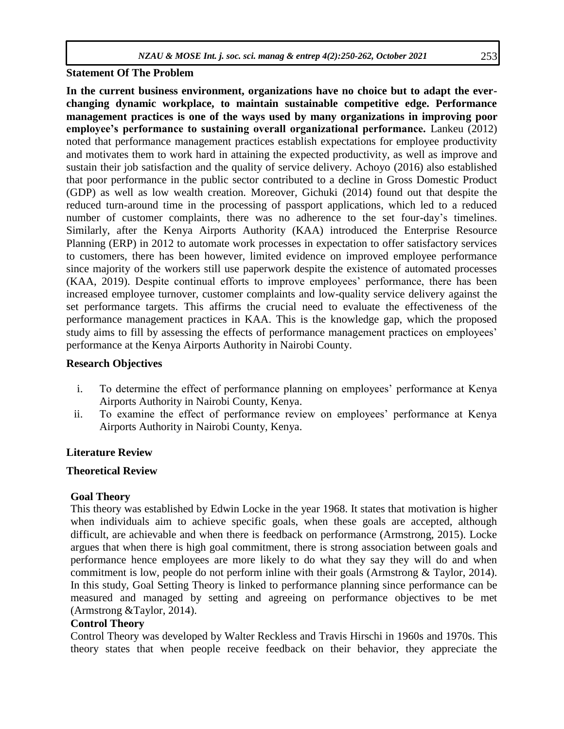### **Statement Of The Problem**

**In the current business environment, organizations have no choice but to adapt the everchanging dynamic workplace, to maintain sustainable competitive edge. Performance management practices is one of the ways used by many organizations in improving poor employee's performance to sustaining overall organizational performance.** Lankeu (2012) noted that performance management practices establish expectations for employee productivity and motivates them to work hard in attaining the expected productivity, as well as improve and sustain their job satisfaction and the quality of service delivery. Achoyo (2016) also established that poor performance in the public sector contributed to a decline in Gross Domestic Product (GDP) as well as low wealth creation. Moreover, Gichuki (2014) found out that despite the reduced turn-around time in the processing of passport applications, which led to a reduced number of customer complaints, there was no adherence to the set four-day's timelines. Similarly, after the Kenya Airports Authority (KAA) introduced the Enterprise Resource Planning (ERP) in 2012 to automate work processes in expectation to offer satisfactory services to customers, there has been however, limited evidence on improved employee performance since majority of the workers still use paperwork despite the existence of automated processes (KAA, 2019). Despite continual efforts to improve employees' performance, there has been increased employee turnover, customer complaints and low-quality service delivery against the set performance targets. This affirms the crucial need to evaluate the effectiveness of the performance management practices in KAA. This is the knowledge gap, which the proposed study aims to fill by assessing the effects of performance management practices on employees' performance at the Kenya Airports Authority in Nairobi County.

### **Research Objectives**

- i. To determine the effect of performance planning on employees' performance at Kenya Airports Authority in Nairobi County, Kenya.
- ii. To examine the effect of performance review on employees' performance at Kenya Airports Authority in Nairobi County, Kenya.

# **Literature Review**

# **Theoretical Review**

# **Goal Theory**

This theory was established by Edwin Locke in the year 1968. It states that motivation is higher when individuals aim to achieve specific goals, when these goals are accepted, although difficult, are achievable and when there is feedback on performance (Armstrong, 2015). Locke argues that when there is high goal commitment, there is strong association between goals and performance hence employees are more likely to do what they say they will do and when commitment is low, people do not perform inline with their goals (Armstrong & Taylor, 2014). In this study, Goal Setting Theory is linked to performance planning since performance can be measured and managed by setting and agreeing on performance objectives to be met (Armstrong &Taylor, 2014).

# **Control Theory**

Control Theory was developed by Walter Reckless and Travis Hirschi in 1960s and 1970s. This theory states that when people receive feedback on their behavior, they appreciate the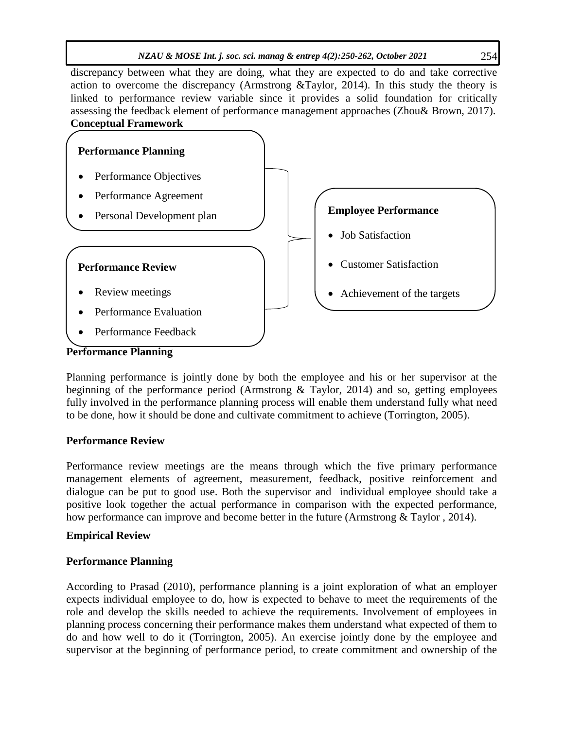discrepancy between what they are doing, what they are expected to do and take corrective action to overcome the discrepancy (Armstrong &Taylor, 2014). In this study the theory is linked to performance review variable since it provides a solid foundation for critically assessing the feedback element of performance management approaches (Zhou& Brown, 2017). **Conceptual Framework**



Planning performance is jointly done by both the employee and his or her supervisor at the beginning of the performance period (Armstrong & Taylor, 2014) and so, getting employees fully involved in the performance planning process will enable them understand fully what need to be done, how it should be done and cultivate commitment to achieve (Torrington, 2005).

### **Performance Review**

Performance review meetings are the means through which the five primary performance management elements of agreement, measurement, feedback, positive reinforcement and dialogue can be put to good use. Both the supervisor and individual employee should take a positive look together the actual performance in comparison with the expected performance, how performance can improve and become better in the future (Armstrong & Taylor , 2014).

### **Empirical Review**

### **Performance Planning**

According to Prasad (2010), performance planning is a joint exploration of what an employer expects individual employee to do, how is expected to behave to meet the requirements of the role and develop the skills needed to achieve the requirements. Involvement of employees in planning process concerning their performance makes them understand what expected of them to do and how well to do it (Torrington, 2005). An exercise jointly done by the employee and supervisor at the beginning of performance period, to create commitment and ownership of the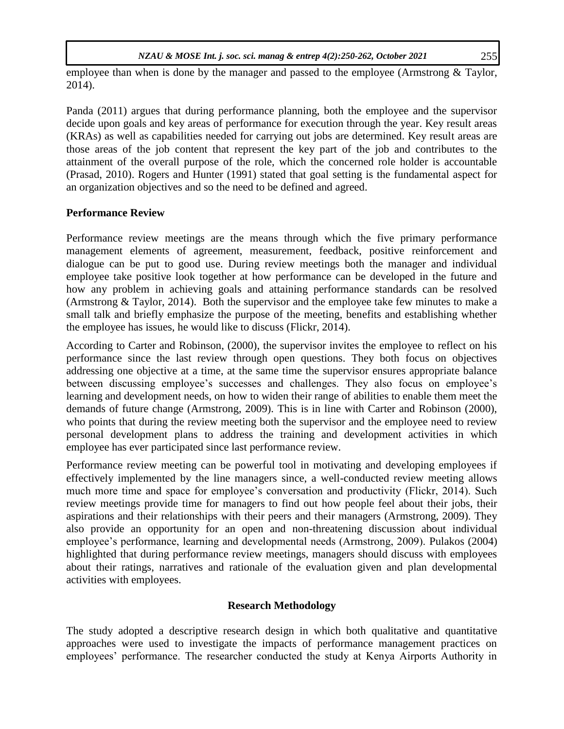employee than when is done by the manager and passed to the employee (Armstrong & Taylor, 2014).

Panda (2011) argues that during performance planning, both the employee and the supervisor decide upon goals and key areas of performance for execution through the year. Key result areas (KRAs) as well as capabilities needed for carrying out jobs are determined. Key result areas are those areas of the job content that represent the key part of the job and contributes to the attainment of the overall purpose of the role, which the concerned role holder is accountable (Prasad, 2010). Rogers and Hunter (1991) stated that goal setting is the fundamental aspect for an organization objectives and so the need to be defined and agreed.

# **Performance Review**

Performance review meetings are the means through which the five primary performance management elements of agreement, measurement, feedback, positive reinforcement and dialogue can be put to good use. During review meetings both the manager and individual employee take positive look together at how performance can be developed in the future and how any problem in achieving goals and attaining performance standards can be resolved (Armstrong & Taylor, 2014). Both the supervisor and the employee take few minutes to make a small talk and briefly emphasize the purpose of the meeting, benefits and establishing whether the employee has issues, he would like to discuss (Flickr, 2014).

According to Carter and Robinson, (2000), the supervisor invites the employee to reflect on his performance since the last review through open questions. They both focus on objectives addressing one objective at a time, at the same time the supervisor ensures appropriate balance between discussing employee's successes and challenges. They also focus on employee's learning and development needs, on how to widen their range of abilities to enable them meet the demands of future change (Armstrong, 2009). This is in line with Carter and Robinson (2000), who points that during the review meeting both the supervisor and the employee need to review personal development plans to address the training and development activities in which employee has ever participated since last performance review.

Performance review meeting can be powerful tool in motivating and developing employees if effectively implemented by the line managers since, a well-conducted review meeting allows much more time and space for employee"s conversation and productivity (Flickr, 2014). Such review meetings provide time for managers to find out how people feel about their jobs, their aspirations and their relationships with their peers and their managers (Armstrong, 2009). They also provide an opportunity for an open and non-threatening discussion about individual employee"s performance, learning and developmental needs (Armstrong, 2009). Pulakos (2004) highlighted that during performance review meetings, managers should discuss with employees about their ratings, narratives and rationale of the evaluation given and plan developmental activities with employees.

# **Research Methodology**

The study adopted a descriptive research design in which both qualitative and quantitative approaches were used to investigate the impacts of performance management practices on employees" performance. The researcher conducted the study at Kenya Airports Authority in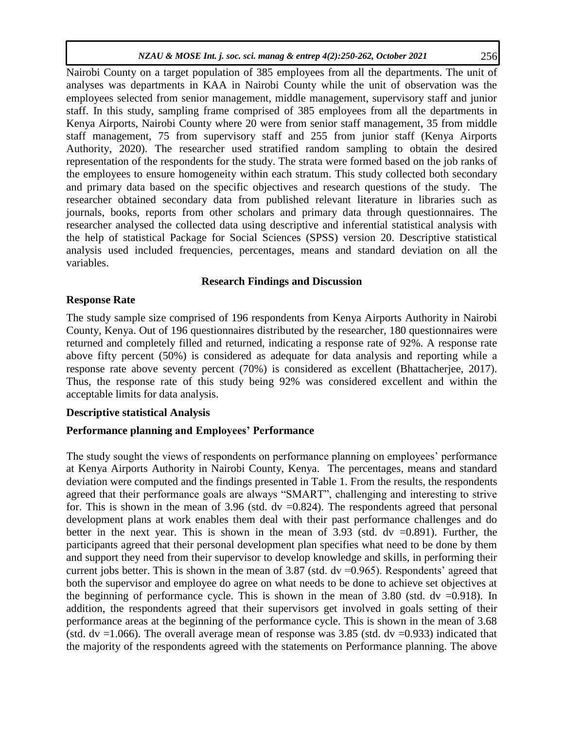Nairobi County on a target population of 385 employees from all the departments. The unit of analyses was departments in KAA in Nairobi County while the unit of observation was the employees selected from senior management, middle management, supervisory staff and junior staff. In this study, sampling frame comprised of 385 employees from all the departments in Kenya Airports, Nairobi County where 20 were from senior staff management, 35 from middle staff management, 75 from supervisory staff and 255 from junior staff (Kenya Airports Authority, 2020). The researcher used stratified random sampling to obtain the desired representation of the respondents for the study. The strata were formed based on the job ranks of the employees to ensure homogeneity within each stratum. This study collected both secondary and primary data based on the specific objectives and research questions of the study. The researcher obtained secondary data from published relevant literature in libraries such as journals, books, reports from other scholars and primary data through questionnaires. The researcher analysed the collected data using descriptive and inferential statistical analysis with the help of statistical Package for Social Sciences (SPSS) version 20. Descriptive statistical analysis used included frequencies, percentages, means and standard deviation on all the variables.

# **Research Findings and Discussion**

### **Response Rate**

The study sample size comprised of 196 respondents from Kenya Airports Authority in Nairobi County, Kenya. Out of 196 questionnaires distributed by the researcher, 180 questionnaires were returned and completely filled and returned, indicating a response rate of 92%. A response rate above fifty percent (50%) is considered as adequate for data analysis and reporting while a response rate above seventy percent (70%) is considered as excellent (Bhattacherjee, 2017). Thus, the response rate of this study being 92% was considered excellent and within the acceptable limits for data analysis.

# **Descriptive statistical Analysis**

# **Performance planning and Employees' Performance**

The study sought the views of respondents on performance planning on employees' performance at Kenya Airports Authority in Nairobi County, Kenya. The percentages, means and standard deviation were computed and the findings presented in Table 1. From the results, the respondents agreed that their performance goals are always "SMART", challenging and interesting to strive for. This is shown in the mean of 3.96 (std.  $dv = 0.824$ ). The respondents agreed that personal development plans at work enables them deal with their past performance challenges and do better in the next year. This is shown in the mean of  $3.93$  (std. dv =0.891). Further, the participants agreed that their personal development plan specifies what need to be done by them and support they need from their supervisor to develop knowledge and skills, in performing their current jobs better. This is shown in the mean of  $3.87$  (std. dv =0.965). Respondents' agreed that both the supervisor and employee do agree on what needs to be done to achieve set objectives at the beginning of performance cycle. This is shown in the mean of  $3.80$  (std. dv =0.918). In addition, the respondents agreed that their supervisors get involved in goals setting of their performance areas at the beginning of the performance cycle. This is shown in the mean of 3.68 (std.  $dv = 1.066$ ). The overall average mean of response was 3.85 (std.  $dv = 0.933$ ) indicated that the majority of the respondents agreed with the statements on Performance planning. The above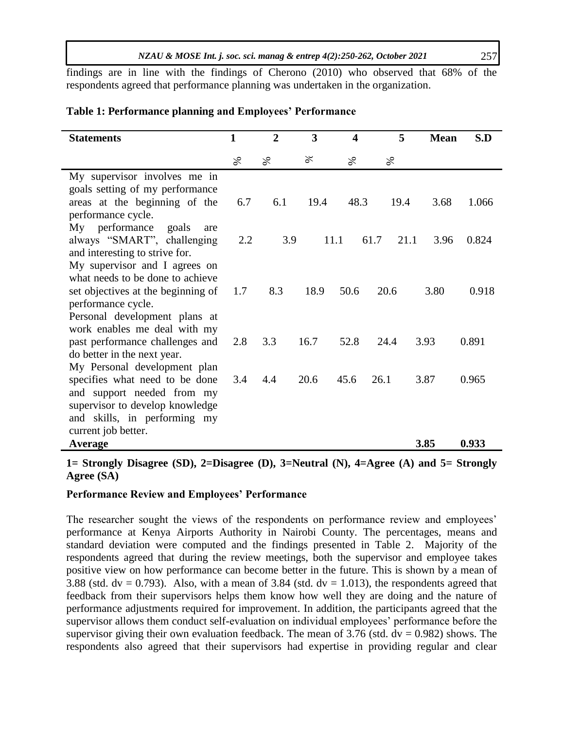findings are in line with the findings of Cherono (2010) who observed that 68% of the respondents agreed that performance planning was undertaken in the organization.

### **Table 1: Performance planning and Employees' Performance**

| <b>Statements</b>                  | $\mathbf{1}$ | $\overline{2}$ | 3    | 4    | 5            | <b>Mean</b> | S.D   |
|------------------------------------|--------------|----------------|------|------|--------------|-------------|-------|
|                                    |              |                |      |      |              |             |       |
|                                    | $\%$         | $\%$           | ℅    | S,   | $\%$         |             |       |
| My supervisor involves me in       |              |                |      |      |              |             |       |
| goals setting of my performance    |              |                |      |      |              |             |       |
| areas at the beginning of the      | 6.7          | 6.1            | 19.4 | 48.3 | 19.4         | 3.68        | 1.066 |
| performance cycle.                 |              |                |      |      |              |             |       |
| My performance<br>goals<br>are     |              |                |      |      |              |             |       |
| always "SMART", challenging        | 2.2          | 3.9            |      | 11.1 | 61.7<br>21.1 | 3.96        | 0.824 |
| and interesting to strive for.     |              |                |      |      |              |             |       |
| My supervisor and I agrees on      |              |                |      |      |              |             |       |
| what needs to be done to achieve   |              |                |      |      |              |             |       |
| set objectives at the beginning of | 1.7          | 8.3            | 18.9 | 50.6 | 20.6         | 3.80        | 0.918 |
| performance cycle.                 |              |                |      |      |              |             |       |
| Personal development plans at      |              |                |      |      |              |             |       |
| work enables me deal with my       |              |                |      |      |              |             |       |
| past performance challenges and    | 2.8          | 3.3            | 16.7 | 52.8 | 24.4         | 3.93        | 0.891 |
| do better in the next year.        |              |                |      |      |              |             |       |
| My Personal development plan       |              |                |      |      |              |             |       |
| specifies what need to be done     | 3.4          | 4.4            | 20.6 | 45.6 | 26.1         | 3.87        | 0.965 |
| and support needed from my         |              |                |      |      |              |             |       |
| supervisor to develop knowledge    |              |                |      |      |              |             |       |
| and skills, in performing my       |              |                |      |      |              |             |       |
| current job better.                |              |                |      |      |              |             |       |
| <b>Average</b>                     |              |                |      |      |              | 3.85        | 0.933 |

**1= Strongly Disagree (SD), 2=Disagree (D), 3=Neutral (N), 4=Agree (A) and 5= Strongly Agree (SA)**

### **Performance Review and Employees' Performance**

The researcher sought the views of the respondents on performance review and employees' performance at Kenya Airports Authority in Nairobi County. The percentages, means and standard deviation were computed and the findings presented in Table 2. Majority of the respondents agreed that during the review meetings, both the supervisor and employee takes positive view on how performance can become better in the future. This is shown by a mean of 3.88 (std.  $dv = 0.793$ ). Also, with a mean of 3.84 (std.  $dv = 1.013$ ), the respondents agreed that feedback from their supervisors helps them know how well they are doing and the nature of performance adjustments required for improvement. In addition, the participants agreed that the supervisor allows them conduct self-evaluation on individual employees' performance before the supervisor giving their own evaluation feedback. The mean of 3.76 (std.  $dv = 0.982$ ) shows. The respondents also agreed that their supervisors had expertise in providing regular and clear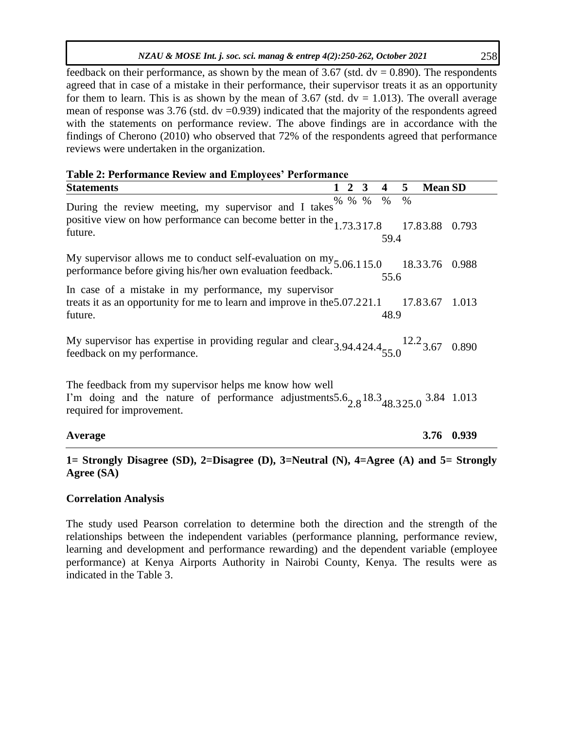| feedback on their performance, as shown by the mean of 3.67 (std. $dv = 0.890$ ). The respondents      |
|--------------------------------------------------------------------------------------------------------|
| agreed that in case of a mistake in their performance, their supervisor treats it as an opportunity    |
| for them to learn. This is as shown by the mean of 3.67 (std. $dv = 1.013$ ). The overall average      |
| mean of response was $3.76$ (std. $dv = 0.939$ ) indicated that the majority of the respondents agreed |
| with the statements on performance review. The above findings are in accordance with the               |
| findings of Cherono (2010) who observed that 72% of the respondents agreed that performance            |
| reviews were undertaken in the organization.                                                           |

|  | <b>Table 2: Performance Review and Employees' Performance</b> |  |  |  |
|--|---------------------------------------------------------------|--|--|--|
|  |                                                               |  |  |  |

| <b>Statements</b>                                                                                                                                                                    | 2           | 3 | 4            | 5             | <b>Mean SD</b> |       |
|--------------------------------------------------------------------------------------------------------------------------------------------------------------------------------------|-------------|---|--------------|---------------|----------------|-------|
| During the review meeting, my supervisor and I takes<br>positive view on how performance can become better in the $1.73.317.8$<br>future.                                            | $\%$ % $\%$ |   | $\%$<br>59.4 | $\frac{0}{0}$ | 17.83.88 0.793 |       |
| My supervisor allows me to conduct self-evaluation on my $5.06.115.0$ performance before giving his/her own evaluation feedback.                                                     |             |   | 55.6         |               | 18.33.76 0.988 |       |
| In case of a mistake in my performance, my supervisor<br>treats it as an opportunity for me to learn and improve in the 5.07.221.1<br>future.                                        |             |   | 48.9         |               | 17.83.67       | 1.013 |
| My supervisor has expertise in providing regular and clear $3.94.424.4_{55.0}$ $12.2_{3.67}$ 0.890<br>feedback on my performance.                                                    |             |   |              |               |                |       |
| The feedback from my supervisor helps me know how well<br>I'm doing and the nature of performance adjustments $5.6_{2.8}$ 18.3 $_{48.325.0}$ 3.84 1.013<br>required for improvement. |             |   |              |               |                |       |
| Average                                                                                                                                                                              |             |   |              |               | 3.76           | 0.939 |

### **1= Strongly Disagree (SD), 2=Disagree (D), 3=Neutral (N), 4=Agree (A) and 5= Strongly Agree (SA)**

### **Correlation Analysis**

The study used Pearson correlation to determine both the direction and the strength of the relationships between the independent variables (performance planning, performance review, learning and development and performance rewarding) and the dependent variable (employee performance) at Kenya Airports Authority in Nairobi County, Kenya. The results were as indicated in the Table 3.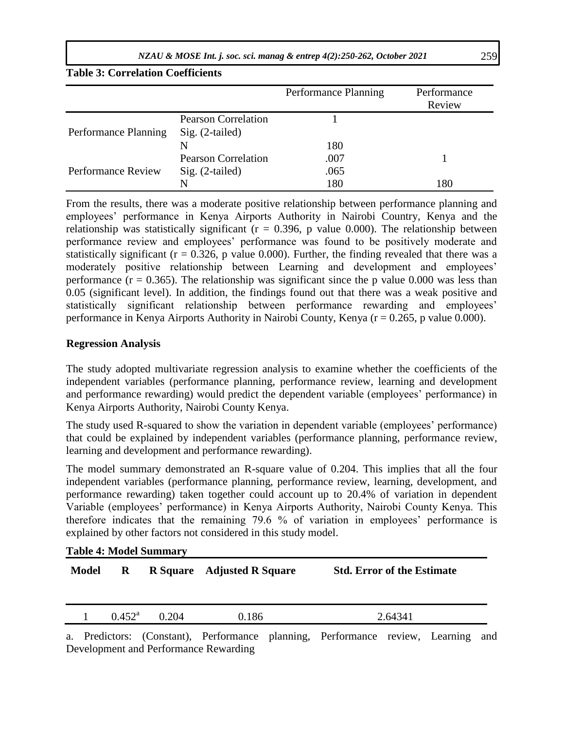*NZAU & MOSE Int. j. soc. sci. manag & entrep 4(2):250-262, October 2021* 259

**Table 3: Correlation Coefficients**

|                           |                            | Performance Planning | Performance<br>Review |
|---------------------------|----------------------------|----------------------|-----------------------|
|                           | <b>Pearson Correlation</b> |                      |                       |
| Performance Planning      | $Sig. (2-tailed)$          |                      |                       |
|                           | N                          | 180                  |                       |
|                           | <b>Pearson Correlation</b> | .007                 |                       |
| <b>Performance Review</b> | $Sig. (2-tailed)$          | .065                 |                       |
|                           | N                          | 180                  | 180                   |

From the results, there was a moderate positive relationship between performance planning and employees" performance in Kenya Airports Authority in Nairobi Country, Kenya and the relationship was statistically significant  $(r = 0.396, p$  value 0.000). The relationship between performance review and employees" performance was found to be positively moderate and statistically significant ( $r = 0.326$ , p value 0.000). Further, the finding revealed that there was a moderately positive relationship between Learning and development and employees" performance  $(r = 0.365)$ . The relationship was significant since the p value 0.000 was less than 0.05 (significant level). In addition, the findings found out that there was a weak positive and statistically significant relationship between performance rewarding and employees' performance in Kenya Airports Authority in Nairobi County, Kenya (r = 0.265, p value 0.000).

### **Regression Analysis**

The study adopted multivariate regression analysis to examine whether the coefficients of the independent variables (performance planning, performance review, learning and development and performance rewarding) would predict the dependent variable (employees' performance) in Kenya Airports Authority, Nairobi County Kenya.

The study used R-squared to show the variation in dependent variable (employees' performance) that could be explained by independent variables (performance planning, performance review, learning and development and performance rewarding).

The model summary demonstrated an R-square value of 0.204. This implies that all the four independent variables (performance planning, performance review, learning, development, and performance rewarding) taken together could account up to 20.4% of variation in dependent Variable (employees" performance) in Kenya Airports Authority, Nairobi County Kenya. This therefore indicates that the remaining  $79.6 \%$  of variation in employees' performance is explained by other factors not considered in this study model.

|  |  |  | <b>Table 4: Model Summary</b> |
|--|--|--|-------------------------------|
|--|--|--|-------------------------------|

| <b>Model</b> | R               |       | R Square Adjusted R Square | <b>Std. Error of the Estimate</b> |  |
|--------------|-----------------|-------|----------------------------|-----------------------------------|--|
|              | $0.452^{\rm a}$ | 0.204 | 0.186                      | 2.64341                           |  |

a. Predictors: (Constant), Performance planning, Performance review, Learning and Development and Performance Rewarding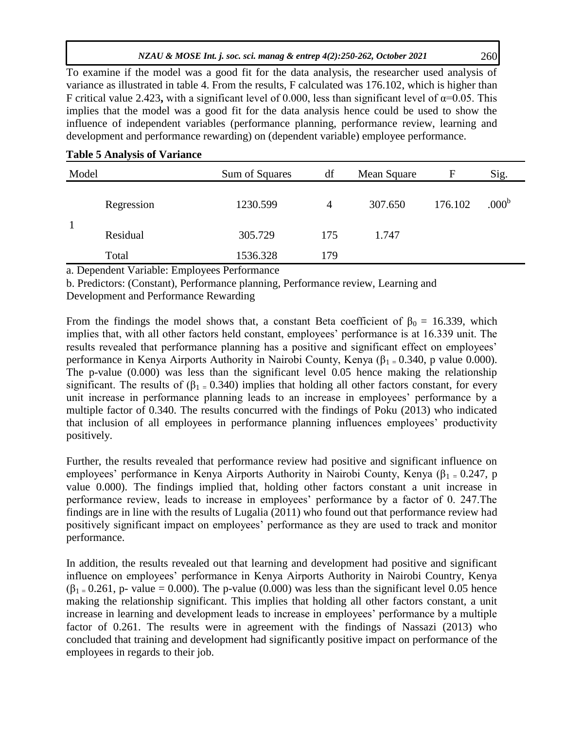To examine if the model was a good fit for the data analysis, the researcher used analysis of variance as illustrated in table 4. From the results, F calculated was 176.102, which is higher than F critical value 2.423, with a significant level of 0.000, less than significant level of  $\alpha$ =0.05. This implies that the model was a good fit for the data analysis hence could be used to show the influence of independent variables (performance planning, performance review, learning and development and performance rewarding) on (dependent variable) employee performance.

|  |  |  |  | <b>Table 5 Analysis of Variance</b> |
|--|--|--|--|-------------------------------------|
|--|--|--|--|-------------------------------------|

| Model |            | Sum of Squares | df  | Mean Square | F       | Sig.              |
|-------|------------|----------------|-----|-------------|---------|-------------------|
|       | Regression | 1230.599       | 4   | 307.650     | 176.102 | .000 <sup>b</sup> |
|       | Residual   | 305.729        | 175 | 1.747       |         |                   |
|       | Total      | 1536.328       | 179 |             |         |                   |

a. Dependent Variable: Employees Performance

b. Predictors: (Constant), Performance planning, Performance review, Learning and

Development and Performance Rewarding

From the findings the model shows that, a constant Beta coefficient of  $\beta_0 = 16.339$ , which implies that, with all other factors held constant, employees' performance is at 16.339 unit. The results revealed that performance planning has a positive and significant effect on employees' performance in Kenya Airports Authority in Nairobi County, Kenya ( $\beta_1 = 0.340$ , p value 0.000). The p-value (0.000) was less than the significant level 0.05 hence making the relationship significant. The results of  $(\beta_1 = 0.340)$  implies that holding all other factors constant, for every unit increase in performance planning leads to an increase in employees' performance by a multiple factor of 0.340. The results concurred with the findings of Poku (2013) who indicated that inclusion of all employees in performance planning influences employees" productivity positively.

Further, the results revealed that performance review had positive and significant influence on employees' performance in Kenya Airports Authority in Nairobi County, Kenya ( $\beta_1 = 0.247$ , p value 0.000). The findings implied that, holding other factors constant a unit increase in performance review, leads to increase in employees' performance by a factor of 0. 247. The findings are in line with the results of Lugalia (2011) who found out that performance review had positively significant impact on employees" performance as they are used to track and monitor performance.

In addition, the results revealed out that learning and development had positive and significant influence on employees" performance in Kenya Airports Authority in Nairobi Country, Kenya  $(\beta_1 = 0.261, p$ - value = 0.000). The p-value (0.000) was less than the significant level 0.05 hence making the relationship significant. This implies that holding all other factors constant, a unit increase in learning and development leads to increase in employees' performance by a multiple factor of 0.261. The results were in agreement with the findings of Nassazi (2013) who concluded that training and development had significantly positive impact on performance of the employees in regards to their job.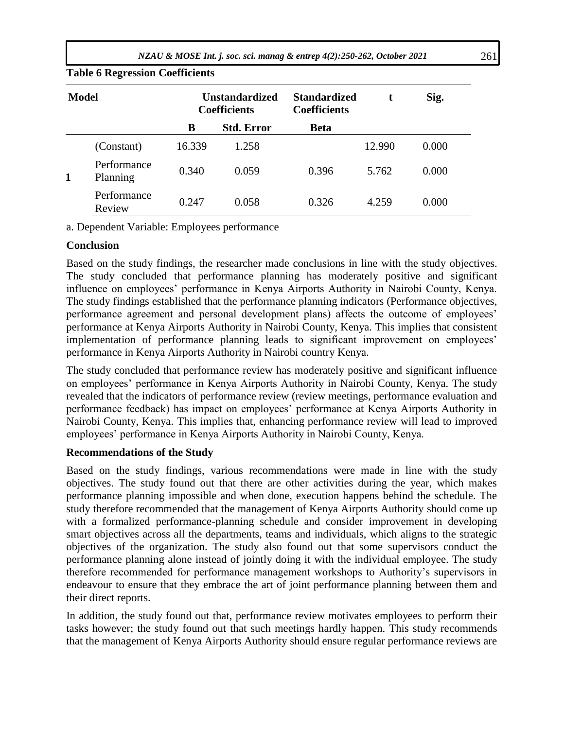| <b>Model</b> |                         | <b>Unstandardized</b><br><b>Coefficients</b> |                   | <b>Standardized</b><br><b>Coefficients</b> |        | Sig.  |
|--------------|-------------------------|----------------------------------------------|-------------------|--------------------------------------------|--------|-------|
|              |                         | В                                            | <b>Std. Error</b> | <b>Beta</b>                                |        |       |
|              | (Constant)              | 16.339                                       | 1.258             |                                            | 12.990 | 0.000 |
|              | Performance<br>Planning | 0.340                                        | 0.059             | 0.396                                      | 5.762  | 0.000 |
|              | Performance<br>Review   | 0.247                                        | 0.058             | 0.326                                      | 4.259  | 0.000 |

# **Table 6 Regression Coefficients**

a. Dependent Variable: Employees performance

### **Conclusion**

Based on the study findings, the researcher made conclusions in line with the study objectives. The study concluded that performance planning has moderately positive and significant influence on employees" performance in Kenya Airports Authority in Nairobi County, Kenya. The study findings established that the performance planning indicators (Performance objectives, performance agreement and personal development plans) affects the outcome of employees' performance at Kenya Airports Authority in Nairobi County, Kenya. This implies that consistent implementation of performance planning leads to significant improvement on employees' performance in Kenya Airports Authority in Nairobi country Kenya.

The study concluded that performance review has moderately positive and significant influence on employees" performance in Kenya Airports Authority in Nairobi County, Kenya. The study revealed that the indicators of performance review (review meetings, performance evaluation and performance feedback) has impact on employees' performance at Kenya Airports Authority in Nairobi County, Kenya. This implies that, enhancing performance review will lead to improved employees" performance in Kenya Airports Authority in Nairobi County, Kenya.

### **Recommendations of the Study**

Based on the study findings, various recommendations were made in line with the study objectives. The study found out that there are other activities during the year, which makes performance planning impossible and when done, execution happens behind the schedule. The study therefore recommended that the management of Kenya Airports Authority should come up with a formalized performance-planning schedule and consider improvement in developing smart objectives across all the departments, teams and individuals, which aligns to the strategic objectives of the organization. The study also found out that some supervisors conduct the performance planning alone instead of jointly doing it with the individual employee. The study therefore recommended for performance management workshops to Authority"s supervisors in endeavour to ensure that they embrace the art of joint performance planning between them and their direct reports.

In addition, the study found out that, performance review motivates employees to perform their tasks however; the study found out that such meetings hardly happen. This study recommends that the management of Kenya Airports Authority should ensure regular performance reviews are